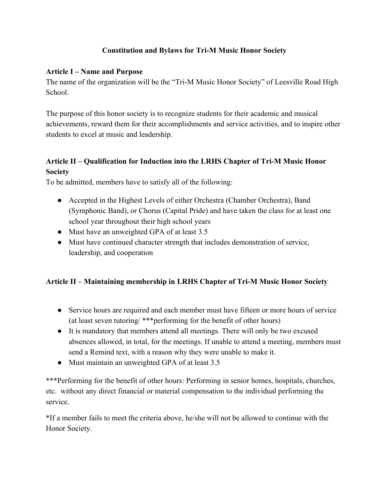# **Constitution and Bylaws for Tri-M Music Honor Society**

### **Article I – Name and Purpose**

The name of the organization will be the "Tri-M Music Honor Society" of Leesville Road High School.

The purpose of this honor society is to recognize students for their academic and musical achievements, reward them for their accomplishments and service activities, and to inspire other students to excel at music and leadership.

# **Article II – Qualification for Induction into the LRHS Chapter of Tri-M Music Honor Society**

To be admitted, members have to satisfy all of the following:

- Accepted in the Highest Levels of either Orchestra (Chamber Orchestra), Band (Symphonic Band), or Chorus (Capital Pride) and have taken the class for at least one school year throughout their high school years
- Must have an unweighted GPA of at least 3.5
- Must have continued character strength that includes demonstration of service, leadership, and cooperation

# **Article II – Maintaining membership in LRHS Chapter of Tri-M Music Honor Society**

- Service hours are required and each member must have fifteen or more hours of service (at least seven tutoring/ \*\*\*performing for the benefit of other hours)
- It is mandatory that members attend all meetings. There will only be two excused absences allowed, in total, for the meetings. If unable to attend a meeting, members must send a Remind text, with a reason why they were unable to make it.
- Must maintain an unweighted GPA of at least 3.5

\*\*\*Performing for the benefit of other hours: Performing in senior homes, hospitals, churches, etc. without any direct financial or material compensation to the individual performing the service.

\*If a member fails to meet the criteria above, he/she will not be allowed to continue with the Honor Society.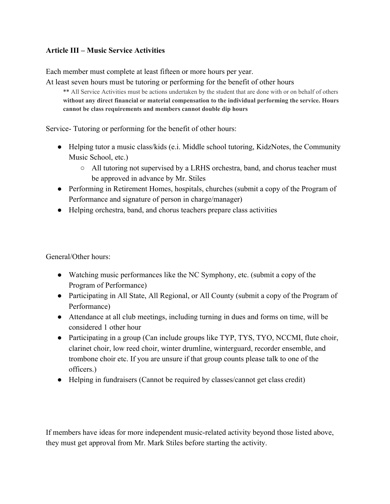### **Article III – Music Service Activities**

Each member must complete at least fifteen or more hours per year.

At least seven hours must be tutoring or performing for the benefit of other hours

\*\* All Service Activities must be actions undertaken by the student that are done with or on behalf of others **without any direct financial or material compensation to the individual performing the service. Hours cannot be class requirements and members cannot double dip hours**

Service- Tutoring or performing for the benefit of other hours:

- Helping tutor a music class/kids (e.i. Middle school tutoring, KidzNotes, the Community Music School, etc.)
	- All tutoring not supervised by a LRHS orchestra, band, and chorus teacher must be approved in advance by Mr. Stiles
- Performing in Retirement Homes, hospitals, churches (submit a copy of the Program of Performance and signature of person in charge/manager)
- Helping orchestra, band, and chorus teachers prepare class activities

General/Other hours:

- Watching music performances like the NC Symphony, etc. (submit a copy of the Program of Performance)
- Participating in All State, All Regional, or All County (submit a copy of the Program of Performance)
- Attendance at all club meetings, including turning in dues and forms on time, will be considered 1 other hour
- Participating in a group (Can include groups like TYP, TYS, TYO, NCCMI, flute choir, clarinet choir, low reed choir, winter drumline, winterguard, recorder ensemble, and trombone choir etc. If you are unsure if that group counts please talk to one of the officers.)
- Helping in fundraisers (Cannot be required by classes/cannot get class credit)

If members have ideas for more independent music-related activity beyond those listed above, they must get approval from Mr. Mark Stiles before starting the activity.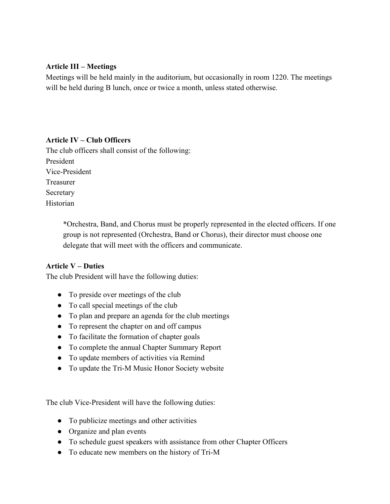#### **Article III – Meetings**

Meetings will be held mainly in the auditorium, but occasionally in room 1220. The meetings will be held during B lunch, once or twice a month, unless stated otherwise.

#### **Article IV – Club Officers**

The club officers shall consist of the following: President Vice-President Treasurer Secretary Historian

> \*Orchestra, Band, and Chorus must be properly represented in the elected officers. If one group is not represented (Orchestra, Band or Chorus), their director must choose one delegate that will meet with the officers and communicate.

#### **Article V – Duties**

The club President will have the following duties:

- To preside over meetings of the club
- To call special meetings of the club
- To plan and prepare an agenda for the club meetings
- To represent the chapter on and off campus
- To facilitate the formation of chapter goals
- To complete the annual Chapter Summary Report
- To update members of activities via Remind
- To update the Tri-M Music Honor Society website

The club Vice-President will have the following duties:

- To publicize meetings and other activities
- Organize and plan events
- To schedule guest speakers with assistance from other Chapter Officers
- To educate new members on the history of Tri-M